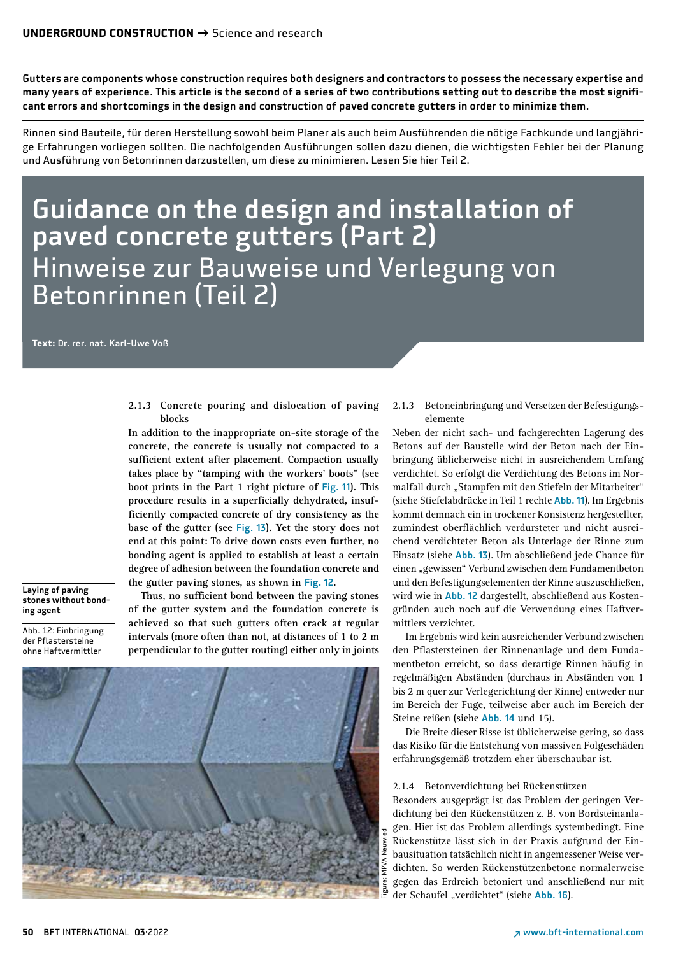Gutters are components whose construction requires both designers and contractors to possess the necessary expertise and many years of experience. This article is the second of a series of two contributions setting out to describe the most significant errors and shortcomings in the design and construction of paved concrete gutters in order to minimize them.

Rinnen sind Bauteile, für deren Herstellung sowohl beim Planer als auch beim Ausführenden die nötige Fachkunde und langjährige Erfahrungen vorliegen sollten. Die nachfolgenden Ausführungen sollen dazu dienen, die wichtigsten Fehler bei der Planung und Ausführung von Betonrinnen darzustellen, um diese zu minimieren. Lesen Sie hier Teil 2.

# Guidance on the design and installation of paved concrete gutters (Part 2) Hinweise zur Bauweise und Verlegung von Betonrinnen (Teil 2)

**Text:** Dr. rer. nat. Karl-Uwe Voß

**2.1.3 Concrete pouring and dislocation of paving blocks**

**In addition to the inappropriate on-site storage of the concrete, the concrete is usually not compacted to a sufficient extent after placement. Compaction usually takes place by "tamping with the workers' boots" (see boot prints in the Part 1 right picture of** Fig. 11**). This procedure results in a superficially dehydrated, insufficiently compacted concrete of dry consistency as the base of the gutter (see** Fig. 13**). Yet the story does not end at this point: To drive down costs even further, no bonding agent is applied to establish at least a certain degree of adhesion between the foundation concrete and the gutter paving stones, as shown in** Fig. 12**.**

Laying of paving stones without bonding agent

Abb. 12: Einbringung der Pflastersteine ohne Haftvermittler

**Thus, no sufficient bond between the paving stones of the gutter system and the foundation concrete is achieved so that such gutters often crack at regular intervals (more often than not, at distances of 1 to 2 m perpendicular to the gutter routing) either only in joints** 



2.1.3 Betoneinbringung und Versetzen der Befestigungselemente

Neben der nicht sach- und fachgerechten Lagerung des Betons auf der Baustelle wird der Beton nach der Einbringung üblicherweise nicht in ausreichendem Umfang verdichtet. So erfolgt die Verdichtung des Betons im Normalfall durch "Stampfen mit den Stiefeln der Mitarbeiter" (siehe Stiefelabdrücke in Teil 1 rechte Abb. 11). Im Ergebnis kommt demnach ein in trockener Konsistenz hergestellter, zumindest oberflächlich verdursteter und nicht ausreichend verdichteter Beton als Unterlage der Rinne zum Einsatz (siehe Abb. 13). Um abschließend jede Chance für einen "gewissen" Verbund zwischen dem Fundamentbeton und den Befestigungselementen der Rinne auszuschließen, wird wie in Abb. 12 dargestellt, abschließend aus Kostengründen auch noch auf die Verwendung eines Haftvermittlers verzichtet.

Im Ergebnis wird kein ausreichender Verbund zwischen den Pflastersteinen der Rinnenanlage und dem Fundamentbeton erreicht, so dass derartige Rinnen häufig in regelmäßigen Abständen (durchaus in Abständen von 1 bis 2 m quer zur Verlegerichtung der Rinne) entweder nur im Bereich der Fuge, teilweise aber auch im Bereich der Steine reißen (siehe Abb. 14 und 15).

Die Breite dieser Risse ist üblicherweise gering, so dass das Risiko für die Entstehung von massiven Folgeschäden erfahrungsgemäß trotzdem eher überschaubar ist.

#### 2.1.4 Betonverdichtung bei Rückenstützen

Besonders ausgeprägt ist das Problem der geringen Verdichtung bei den Rückenstützen z. B. von Bordsteinanlagen. Hier ist das Problem allerdings systembedingt. Eine Rückenstütze lässt sich in der Praxis aufgrund der Einbausituation tatsächlich nicht in angemessener Weise verdichten. So werden Rückenstützenbetone normalerweise gegen das Erdreich betoniert und anschließend nur mit der Schaufel "verdichtet" (siehe Abb. 16).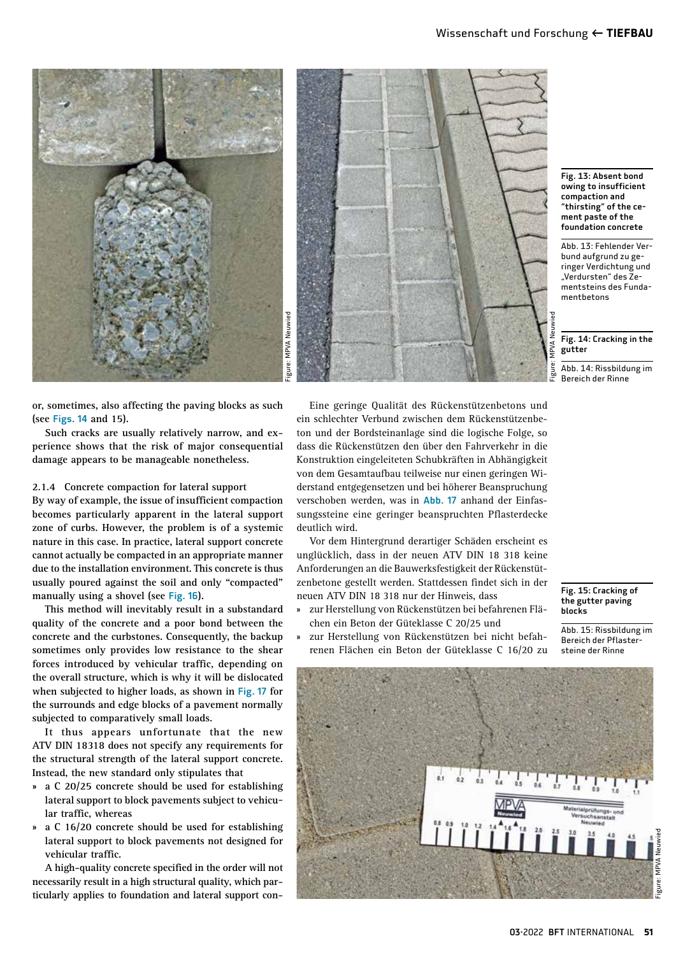



Fig. 13: Absent bond owing to insufficient compaction and "thirsting" of the cement paste of the foundation concrete

Abb. 13: Fehlender Verbund aufgrund zu geringer Verdichtung und "Verdursten" des Zementsteins des Fundamentbetons

#### $\overline{Fig. 14}$ : Cracking in the gutter

Abb. 14: Rissbildung im Bereich der Rinne

**or, sometimes, also affecting the paving blocks as such (see** Figs. 14 **and 15).**

**Such cracks are usually relatively narrow, and experience shows that the risk of major consequential damage appears to be manageable nonetheless.**

#### **2.1.4 Concrete compaction for lateral support**

**By way of example, the issue of insufficient compaction becomes particularly apparent in the lateral support zone of curbs. However, the problem is of a systemic nature in this case. In practice, lateral support concrete cannot actually be compacted in an appropriate manner due to the installation environment. This concrete is thus usually poured against the soil and only "compacted" manually using a shovel (see** Fig. 16**).**

**This method will inevitably result in a substandard quality of the concrete and a poor bond between the concrete and the curbstones. Consequently, the backup sometimes only provides low resistance to the shear forces introduced by vehicular traffic, depending on the overall structure, which is why it will be dislocated when subjected to higher loads, as shown in** Fig. 17 **for the surrounds and edge blocks of a pavement normally subjected to comparatively small loads.**

**It thus appears unfortunate that the new ATV DIN 18318 does not specify any requirements for the structural strength of the lateral support concrete. Instead, the new standard only stipulates that**

- **» a C 20/25 concrete should be used for establishing lateral support to block pavements subject to vehicular traffic, whereas**
- **» a C 16/20 concrete should be used for establishing lateral support to block pavements not designed for vehicular traffic.**

**A high-quality concrete specified in the order will not necessarily result in a high structural quality, which particularly applies to foundation and lateral support con-**

Eine geringe Qualität des Rückenstützenbetons und ein schlechter Verbund zwischen dem Rückenstützenbeton und der Bordsteinanlage sind die logische Folge, so dass die Rückenstützen den über den Fahrverkehr in die Konstruktion eingeleiteten Schubkräften in Abhängigkeit von dem Gesamtaufbau teilweise nur einen geringen Widerstand entgegensetzen und bei höherer Beanspruchung verschoben werden, was in Abb. 17 anhand der Einfassungssteine eine geringer beanspruchten Pflasterdecke deutlich wird.

Vor dem Hintergrund derartiger Schäden erscheint es unglücklich, dass in der neuen ATV DIN 18 318 keine Anforderungen an die Bauwerksfestigkeit der Rückenstützenbetone gestellt werden. Stattdessen findet sich in der neuen ATV DIN 18 318 nur der Hinweis, dass

- » zur Herstellung von Rückenstützen bei befahrenen Flächen ein Beton der Güteklasse C 20/25 und
- the gutter paving blocks

Abb. 15: Rissbildung im Bereich der Pflastersteine der Rinne

Fig. 15: Cracking of

» zur Herstellung von Rückenstützen bei nicht befahrenen Flächen ein Beton der Güteklasse C 16/20 zu

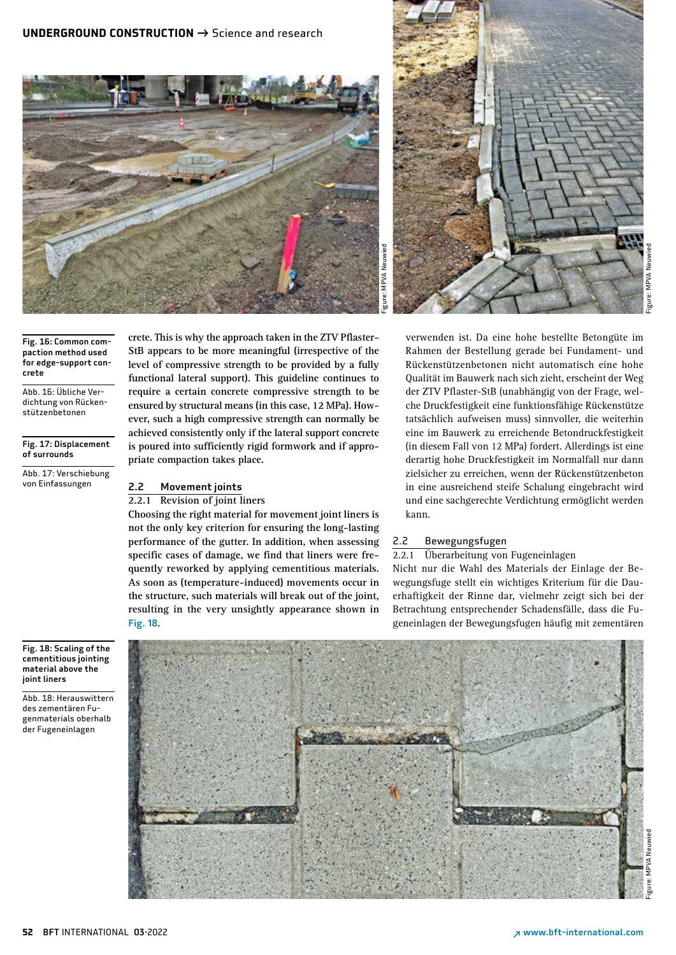



Fig. 16: Common compaction method used for edge-support concrete

Abb. 16: Übliche Verdichtung von Rückenstützenbetonen

Fig. 17: Displacement of surrounds

Abb. 17: Verschiebung von Einfassungen

**crete. This is why the approach taken in the ZTV Pflaster-StB appears to be more meaningful (irrespective of the level of compressive strength to be provided by a fully functional lateral support). This guideline continues to require a certain concrete compressive strength to be ensured by structural means (in this case, 12 MPa). However, such a high compressive strength can normally be achieved consistently only if the lateral support concrete is poured into sufficiently rigid formwork and if appropriate compaction takes place.**

# 2.2 Movement joints

# **2.2.1 Revision of joint liners**

**Choosing the right material for movement joint liners is not the only key criterion for ensuring the long-lasting performance of the gutter. In addition, when assessing specific cases of damage, we find that liners were frequently reworked by applying cementitious materials. As soon as (temperature-induced) movements occur in the structure, such materials will break out of the joint, resulting in the very unsightly appearance shown in**  Fig. 18**.**

verwenden ist. Da eine hohe bestellte Betongüte im Rahmen der Bestellung gerade bei Fundament- und Rückenstützenbetonen nicht automatisch eine hohe Qualität im Bauwerk nach sich zieht, erscheint der Weg der ZTV Pflaster-StB (unabhängig von der Frage, welche Druckfestigkeit eine funktionsfähige Rückenstütze tatsächlich aufweisen muss) sinnvoller, die weiterhin eine im Bauwerk zu erreichende Betondruckfestigkeit (in diesem Fall von 12 MPa) fordert. Allerdings ist eine derartig hohe Druckfestigkeit im Normalfall nur dann zielsicher zu erreichen, wenn der Rückenstützenbeton in eine ausreichend steife Schalung eingebracht wird und eine sachgerechte Verdichtung ermöglicht werden kann.

# 2.2 Bewegungsfugen

2.2.1 Überarbeitung von Fugeneinlagen

Nicht nur die Wahl des Materials der Einlage der Bewegungsfuge stellt ein wichtiges Kriterium für die Dauerhaftigkeit der Rinne dar, vielmehr zeigt sich bei der Betrachtung entsprechender Schadensfälle, dass die Fugeneinlagen der Bewegungsfugen häufig mit zementären



Fig. 18: Scaling of the cementitious jointing material above the joint liners

Abb. 18: Herauswittern des zementären Fugenmaterials oberhalb der Fugeneinlagen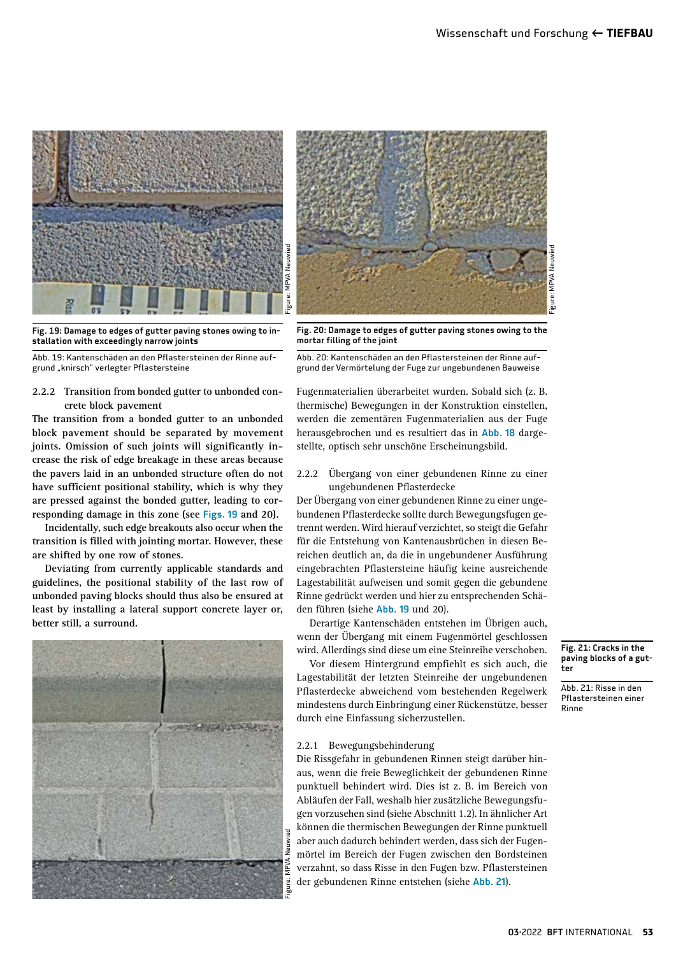



Fig. 19: Damage to edges of gutter paving stones owing to installation with exceedingly narrow joints



#### **2.2.2 Transition from bonded gutter to unbonded concrete block pavement**

**The transition from a bonded gutter to an unbonded block pavement should be separated by movement joints. Omission of such joints will significantly increase the risk of edge breakage in these areas because the pavers laid in an unbonded structure often do not have sufficient positional stability, which is why they are pressed against the bonded gutter, leading to corresponding damage in this zone (see** Figs. 19 **and 20).**

**Incidentally, such edge breakouts also occur when the transition is filled with jointing mortar. However, these are shifted by one row of stones.**

**Deviating from currently applicable standards and guidelines, the positional stability of the last row of unbonded paving blocks should thus also be ensured at least by installing a lateral support concrete layer or, better still, a surround.**



Fig. 20: Damage to edges of gutter paving stones owing to the mortar filling of the joint

Abb. 20: Kantenschäden an den Pflastersteinen der Rinne aufgrund der Vermörtelung der Fuge zur ungebundenen Bauweise

Fugenmaterialien überarbeitet wurden. Sobald sich (z. B. thermische) Bewegungen in der Konstruktion einstellen, werden die zementären Fugenmaterialien aus der Fuge herausgebrochen und es resultiert das in Abb. 18 dargestellte, optisch sehr unschöne Erscheinungsbild.

#### 2.2.2 Übergang von einer gebundenen Rinne zu einer ungebundenen Pflasterdecke

Der Übergang von einer gebundenen Rinne zu einer ungebundenen Pflasterdecke sollte durch Bewegungsfugen getrennt werden. Wird hierauf verzichtet, so steigt die Gefahr für die Entstehung von Kantenausbrüchen in diesen Bereichen deutlich an, da die in ungebundener Ausführung eingebrachten Pflastersteine häufig keine ausreichende Lagestabilität aufweisen und somit gegen die gebundene Rinne gedrückt werden und hier zu entsprechenden Schäden führen (siehe Abb. 19 und 20).

Derartige Kantenschäden entstehen im Übrigen auch, wenn der Übergang mit einem Fugenmörtel geschlossen wird. Allerdings sind diese um eine Steinreihe verschoben.

Vor diesem Hintergrund empfiehlt es sich auch, die Lagestabilität der letzten Steinreihe der ungebundenen Pflasterdecke abweichend vom bestehenden Regelwerk mindestens durch Einbringung einer Rückenstütze, besser durch eine Einfassung sicherzustellen.

#### 2.2.1 Bewegungsbehinderung

Die Rissgefahr in gebundenen Rinnen steigt darüber hinaus, wenn die freie Beweglichkeit der gebundenen Rinne punktuell behindert wird. Dies ist z. B. im Bereich von Abläufen der Fall, weshalb hier zusätzliche Bewegungsfugen vorzusehen sind (siehe Abschnitt 1.2). In ähnlicher Art können die thermischen Bewegungen der Rinne punktuell aber auch dadurch behindert werden, dass sich der Fugenmörtel im Bereich der Fugen zwischen den Bordsteinen verzahnt, so dass Risse in den Fugen bzw. Pflastersteinen der gebundenen Rinne entstehen (siehe Abb. 21).

Fig. 21: Cracks in the paving blocks of a gutter

Abb. 21: Risse in den Pflastersteinen einer Rinne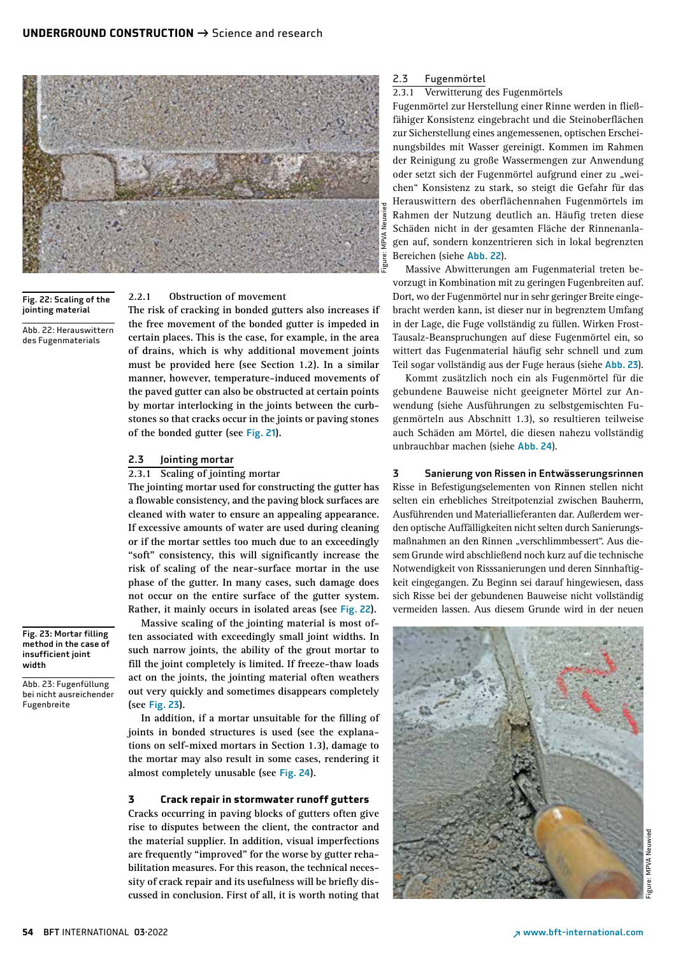

Fig. 22: Scaling of the jointing material

Abb. 22: Herauswittern des Fugenmaterials

Fig. 23: Mortar filling method in the case of insufficient joint

Abb. 23: Fugenfüllung bei nicht ausreichender

width

Fugenbreite

# **2.2.1 Obstruction of movement**

**The risk of cracking in bonded gutters also increases if the free movement of the bonded gutter is impeded in certain places. This is the case, for example, in the area of drains, which is why additional movement joints must be provided here (see Section 1.2). In a similar manner, however, temperature-induced movements of the paved gutter can also be obstructed at certain points by mortar interlocking in the joints between the curbstones so that cracks occur in the joints or paving stones of the bonded gutter (see** Fig. 21**).**

## 2.3 Jointing mortar

#### **2.3.1 Scaling of jointing mortar**

**The jointing mortar used for constructing the gutter has a flowable consistency, and the paving block surfaces are cleaned with water to ensure an appealing appearance. If excessive amounts of water are used during cleaning or if the mortar settles too much due to an exceedingly "soft" consistency, this will significantly increase the risk of scaling of the near-surface mortar in the use phase of the gutter. In many cases, such damage does not occur on the entire surface of the gutter system. Rather, it mainly occurs in isolated areas (see** Fig. 22**).**

**Massive scaling of the jointing material is most often associated with exceedingly small joint widths. In such narrow joints, the ability of the grout mortar to fill the joint completely is limited. If freeze-thaw loads act on the joints, the jointing material often weathers out very quickly and sometimes disappears completely (see** Fig. 23**).**

**In addition, if a mortar unsuitable for the filling of joints in bonded structures is used (see the explanations on self-mixed mortars in Section 1.3), damage to the mortar may also result in some cases, rendering it almost completely unusable (see** Fig. 24**).**

# **3 Crack repair in stormwater runoff gutters**

**Cracks occurring in paving blocks of gutters often give rise to disputes between the client, the contractor and the material supplier. In addition, visual imperfections are frequently "improved" for the worse by gutter rehabilitation measures. For this reason, the technical necessity of crack repair and its usefulness will be briefly discussed in conclusion. First of all, it is worth noting that** 

## 2.3 Fugenmörtel

# 2.3.1 Verwitterung des Fugenmörtels

Fugenmörtel zur Herstellung einer Rinne werden in fließfähiger Konsistenz eingebracht und die Steinoberflächen zur Sicherstellung eines angemessenen, optischen Erscheinungsbildes mit Wasser gereinigt. Kommen im Rahmen der Reinigung zu große Wassermengen zur Anwendung oder setzt sich der Fugenmörtel aufgrund einer zu "weichen" Konsistenz zu stark, so steigt die Gefahr für das Herauswittern des oberflächennahen Fugenmörtels im Rahmen der Nutzung deutlich an. Häufig treten diese Schäden nicht in der gesamten Fläche der Rinnenanlagen auf, sondern konzentrieren sich in lokal begrenzten Bereichen (siehe Abb. 22).

Massive Abwitterungen am Fugenmaterial treten bevorzugt in Kombination mit zu geringen Fugenbreiten auf. Dort, wo der Fugenmörtel nur in sehr geringer Breite eingebracht werden kann, ist dieser nur in begrenztem Umfang in der Lage, die Fuge vollständig zu füllen. Wirken Frost-Tausalz-Beanspruchungen auf diese Fugenmörtel ein, so wittert das Fugenmaterial häufig sehr schnell und zum Teil sogar vollständig aus der Fuge heraus (siehe Abb. 23).

Kommt zusätzlich noch ein als Fugenmörtel für die gebundene Bauweise nicht geeigneter Mörtel zur Anwendung (siehe Ausführungen zu selbstgemischten Fugenmörteln aus Abschnitt 1.3), so resultieren teilweise auch Schäden am Mörtel, die diesen nahezu vollständig unbrauchbar machen (siehe Abb. 24).

# 3 Sanierung von Rissen in Entwässerungsrinnen Risse in Befestigungselementen von Rinnen stellen nicht selten ein erhebliches Streitpotenzial zwischen Bauherrn, Ausführenden und Materiallieferanten dar. Außerdem werden optische Auffälligkeiten nicht selten durch Sanierungsmaßnahmen an den Rinnen "verschlimmbessert". Aus diesem Grunde wird abschließend noch kurz auf die technische Notwendigkeit von Risssanierungen und deren Sinnhaftigkeit eingegangen. Zu Beginn sei darauf hingewiesen, dass

sich Risse bei der gebundenen Bauweise nicht vollständig vermeiden lassen. Aus diesem Grunde wird in der neuen



#### **54** BFT INTERNATIONAL03·2022 ↗ www.bft-international.com